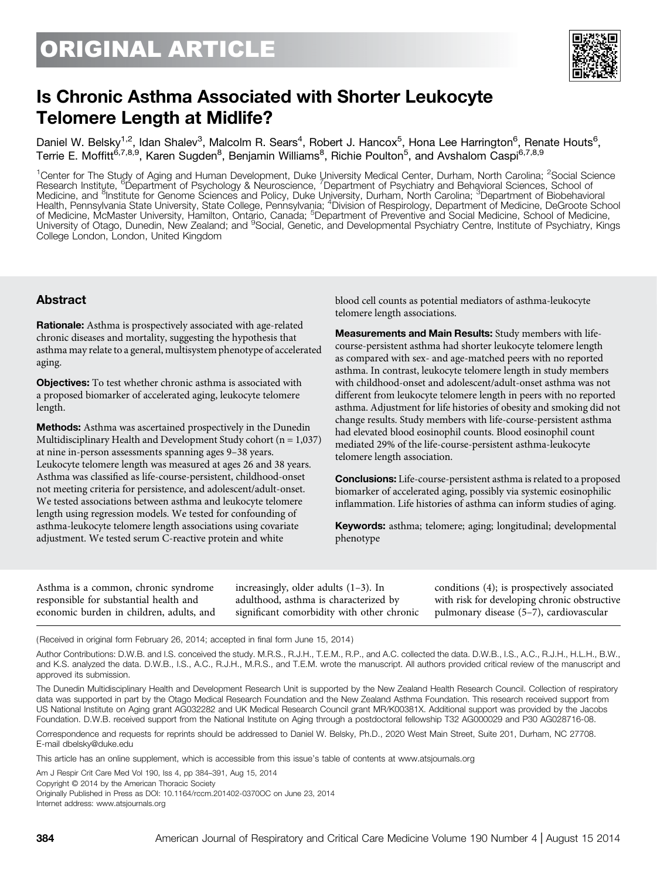# ORIGINAL ARTICLE



## Is Chronic Asthma Associated with Shorter Leukocyte Telomere Length at Midlife?

Daniel W. Belsky<sup>1,2</sup>, Idan Shalev<sup>3</sup>, Malcolm R. Sears<sup>4</sup>, Robert J. Hancox<sup>5</sup>, Hona Lee Harrington<sup>6</sup>, Renate Houts<sup>6</sup>, Terrie E. Moffitt<sup>6,7,8,9</sup>, Karen Sugden<sup>8</sup>, Benjamin Williams<sup>8</sup>, Richie Poulton<sup>5</sup>, and Avshalom Caspi<sup>6,7,8,9</sup>

<sup>1</sup>Center for The Study of Aging and Human Development, Duke University Medical Center, Durham, North Carolina; <sup>2</sup>Social Science<br>Research Institute, <sup>6</sup>Department of Psychology & Neuroscience, <sup>7</sup>Department of Psychiatry Health, Pennsylvania State University, State College, Pennsylvania; <sup>4</sup>Division of Respirology, Department of Medicine, DeGroote School<br>of Medicine, McMaster University, Hamilton, Ontario, Canada; <sup>5</sup>Department of Preventi University of Otago, Dunedin, New Zealand; and <sup>9</sup>Social, Genetic, and Developmental Psychiatry Centre, Institute of Psychiatry, Kings College London, London, United Kingdom

## Abstract

Rationale: Asthma is prospectively associated with age-related chronic diseases and mortality, suggesting the hypothesis that asthma may relate to a general, multisystem phenotype of accelerated aging.

Objectives: To test whether chronic asthma is associated with a proposed biomarker of accelerated aging, leukocyte telomere length.

Methods: Asthma was ascertained prospectively in the Dunedin Multidisciplinary Health and Development Study cohort ( $n = 1,037$ ) at nine in-person assessments spanning ages 9–38 years. Leukocyte telomere length was measured at ages 26 and 38 years. Asthma was classified as life-course-persistent, childhood-onset not meeting criteria for persistence, and adolescent/adult-onset. We tested associations between asthma and leukocyte telomere length using regression models. We tested for confounding of asthma-leukocyte telomere length associations using covariate adjustment. We tested serum C-reactive protein and white

blood cell counts as potential mediators of asthma-leukocyte telomere length associations.

Measurements and Main Results: Study members with lifecourse-persistent asthma had shorter leukocyte telomere length as compared with sex- and age-matched peers with no reported asthma. In contrast, leukocyte telomere length in study members with childhood-onset and adolescent/adult-onset asthma was not different from leukocyte telomere length in peers with no reported asthma. Adjustment for life histories of obesity and smoking did not change results. Study members with life-course-persistent asthma had elevated blood eosinophil counts. Blood eosinophil count mediated 29% of the life-course-persistent asthma-leukocyte telomere length association.

Conclusions: Life-course-persistent asthma is related to a proposed biomarker of accelerated aging, possibly via systemic eosinophilic inflammation. Life histories of asthma can inform studies of aging.

Keywords: asthma; telomere; aging; longitudinal; developmental phenotype

Asthma is a common, chronic syndrome responsible for substantial health and economic burden in children, adults, and increasingly, older adults (1–3). In adulthood, asthma is characterized by significant comorbidity with other chronic conditions (4); is prospectively associated with risk for developing chronic obstructive pulmonary disease (5–7), cardiovascular

(Received in original form February 26, 2014; accepted in final form June 15, 2014 )

This article has an online supplement, which is accessible from this issue's table of contents at [www.atsjournals.org](http://www.atsjournals.org)

Author Contributions: D.W.B. and I.S. conceived the study. M.R.S., R.J.H., T.E.M., R.P., and A.C. collected the data. D.W.B., I.S., A.C., R.J.H., H.L.H., B.W., and K.S. analyzed the data. D.W.B., I.S., A.C., R.J.H., M.R.S., and T.E.M. wrote the manuscript. All authors provided critical review of the manuscript and approved its submission.

The Dunedin Multidisciplinary Health and Development Research Unit is supported by the New Zealand Health Research Council. Collection of respiratory data was supported in part by the Otago Medical Research Foundation and the New Zealand Asthma Foundation. This research received support from US National Institute on Aging grant AG032282 and UK Medical Research Council grant MR/K00381X. Additional support was provided by the Jacobs Foundation. D.W.B. received support from the National Institute on Aging through a postdoctoral fellowship T32 AG000029 and P30 AG028716-08.

Correspondence and requests for reprints should be addressed to Daniel W. Belsky, Ph.D., 2020 West Main Street, Suite 201, Durham, NC 27708. E-mail [dbelsky@duke.edu](mailto:dbelsky@duke.edu)

Am J Respir Crit Care Med Vol 190, Iss 4, pp 384–391, Aug 15, 2014

Copyright © 2014 by the American Thoracic Society

Originally Published in Press as DOI: [10.1164/rccm.201402-0370OC](http://dx.doi.org/10.1164/rccm.201402-0370OC) on June 23, 2014 Internet address: [www.atsjournals.org](http://www.atsjournals.org)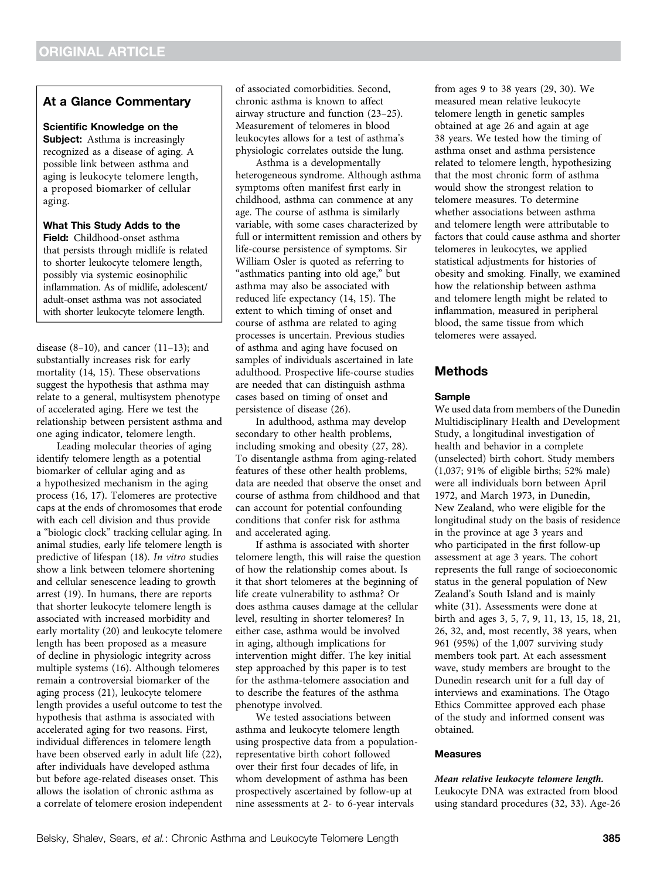## At a Glance Commentary

## Scientific Knowledge on the

Subject: Asthma is increasingly recognized as a disease of aging. A possible link between asthma and aging is leukocyte telomere length, a proposed biomarker of cellular aging.

### What This Study Adds to the

Field: Childhood-onset asthma that persists through midlife is related to shorter leukocyte telomere length, possibly via systemic eosinophilic inflammation. As of midlife, adolescent/ adult-onset asthma was not associated with shorter leukocyte telomere length.

disease  $(8-10)$ , and cancer  $(11-13)$ ; and substantially increases risk for early mortality (14, 15). These observations suggest the hypothesis that asthma may relate to a general, multisystem phenotype of accelerated aging. Here we test the relationship between persistent asthma and one aging indicator, telomere length.

Leading molecular theories of aging identify telomere length as a potential biomarker of cellular aging and as a hypothesized mechanism in the aging process (16, 17). Telomeres are protective caps at the ends of chromosomes that erode with each cell division and thus provide a "biologic clock" tracking cellular aging. In animal studies, early life telomere length is predictive of lifespan (18). In vitro studies show a link between telomere shortening and cellular senescence leading to growth arrest (19). In humans, there are reports that shorter leukocyte telomere length is associated with increased morbidity and early mortality (20) and leukocyte telomere length has been proposed as a measure of decline in physiologic integrity across multiple systems (16). Although telomeres remain a controversial biomarker of the aging process (21), leukocyte telomere length provides a useful outcome to test the hypothesis that asthma is associated with accelerated aging for two reasons. First, individual differences in telomere length have been observed early in adult life (22), after individuals have developed asthma but before age-related diseases onset. This allows the isolation of chronic asthma as a correlate of telomere erosion independent

of associated comorbidities. Second, chronic asthma is known to affect airway structure and function (23–25). Measurement of telomeres in blood leukocytes allows for a test of asthma's physiologic correlates outside the lung.

Asthma is a developmentally heterogeneous syndrome. Although asthma symptoms often manifest first early in childhood, asthma can commence at any age. The course of asthma is similarly variable, with some cases characterized by full or intermittent remission and others by life-course persistence of symptoms. Sir William Osler is quoted as referring to "asthmatics panting into old age," but asthma may also be associated with reduced life expectancy (14, 15). The extent to which timing of onset and course of asthma are related to aging processes is uncertain. Previous studies of asthma and aging have focused on samples of individuals ascertained in late adulthood. Prospective life-course studies are needed that can distinguish asthma cases based on timing of onset and persistence of disease (26).

In adulthood, asthma may develop secondary to other health problems, including smoking and obesity (27, 28). To disentangle asthma from aging-related features of these other health problems, data are needed that observe the onset and course of asthma from childhood and that can account for potential confounding conditions that confer risk for asthma and accelerated aging.

If asthma is associated with shorter telomere length, this will raise the question of how the relationship comes about. Is it that short telomeres at the beginning of life create vulnerability to asthma? Or does asthma causes damage at the cellular level, resulting in shorter telomeres? In either case, asthma would be involved in aging, although implications for intervention might differ. The key initial step approached by this paper is to test for the asthma-telomere association and to describe the features of the asthma phenotype involved.

We tested associations between asthma and leukocyte telomere length using prospective data from a populationrepresentative birth cohort followed over their first four decades of life, in whom development of asthma has been prospectively ascertained by follow-up at nine assessments at 2- to 6-year intervals

from ages 9 to 38 years (29, 30). We measured mean relative leukocyte telomere length in genetic samples obtained at age 26 and again at age 38 years. We tested how the timing of asthma onset and asthma persistence related to telomere length, hypothesizing that the most chronic form of asthma would show the strongest relation to telomere measures. To determine whether associations between asthma and telomere length were attributable to factors that could cause asthma and shorter telomeres in leukocytes, we applied statistical adjustments for histories of obesity and smoking. Finally, we examined how the relationship between asthma and telomere length might be related to inflammation, measured in peripheral blood, the same tissue from which telomeres were assayed.

## Methods

#### Sample

We used data from members of the Dunedin Multidisciplinary Health and Development Study, a longitudinal investigation of health and behavior in a complete (unselected) birth cohort. Study members (1,037; 91% of eligible births; 52% male) were all individuals born between April 1972, and March 1973, in Dunedin, New Zealand, who were eligible for the longitudinal study on the basis of residence in the province at age 3 years and who participated in the first follow-up assessment at age 3 years. The cohort represents the full range of socioeconomic status in the general population of New Zealand's South Island and is mainly white (31). Assessments were done at birth and ages 3, 5, 7, 9, 11, 13, 15, 18, 21, 26, 32, and, most recently, 38 years, when 961 (95%) of the 1,007 surviving study members took part. At each assessment wave, study members are brought to the Dunedin research unit for a full day of interviews and examinations. The Otago Ethics Committee approved each phase of the study and informed consent was obtained.

#### Measures

Mean relative leukocyte telomere length. Leukocyte DNA was extracted from blood using standard procedures (32, 33). Age-26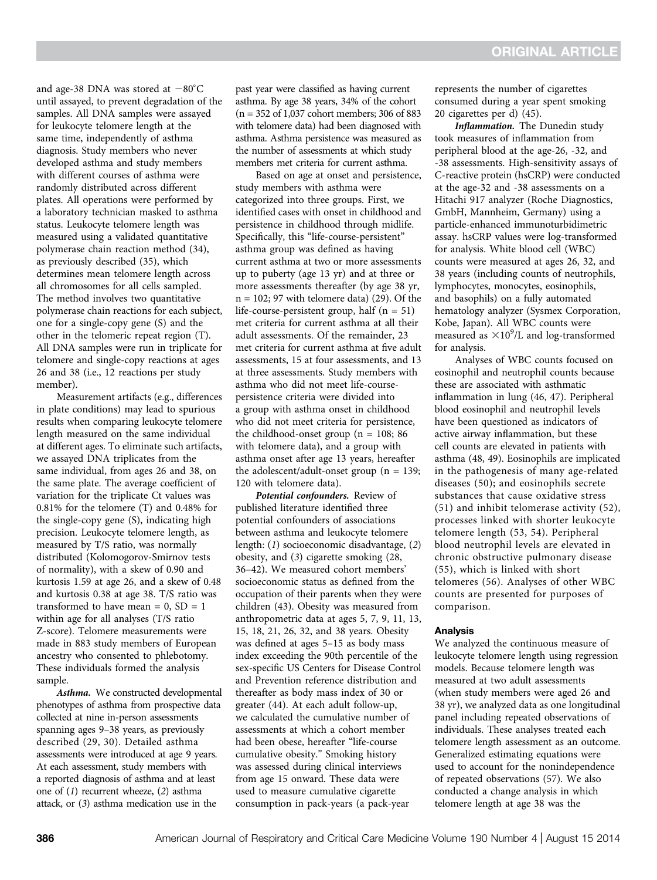and age-38 DNA was stored at  $-80^{\circ}$ C until assayed, to prevent degradation of the samples. All DNA samples were assayed for leukocyte telomere length at the same time, independently of asthma diagnosis. Study members who never developed asthma and study members with different courses of asthma were randomly distributed across different plates. All operations were performed by a laboratory technician masked to asthma status. Leukocyte telomere length was measured using a validated quantitative polymerase chain reaction method (34), as previously described (35), which determines mean telomere length across all chromosomes for all cells sampled. The method involves two quantitative polymerase chain reactions for each subject, one for a single-copy gene (S) and the other in the telomeric repeat region (T). All DNA samples were run in triplicate for telomere and single-copy reactions at ages 26 and 38 (i.e., 12 reactions per study member).

Measurement artifacts (e.g., differences in plate conditions) may lead to spurious results when comparing leukocyte telomere length measured on the same individual at different ages. To eliminate such artifacts, we assayed DNA triplicates from the same individual, from ages 26 and 38, on the same plate. The average coefficient of variation for the triplicate Ct values was 0.81% for the telomere (T) and 0.48% for the single-copy gene (S), indicating high precision. Leukocyte telomere length, as measured by T/S ratio, was normally distributed (Kolomogorov-Smirnov tests of normality), with a skew of 0.90 and kurtosis 1.59 at age 26, and a skew of 0.48 and kurtosis 0.38 at age 38. T/S ratio was transformed to have mean  $= 0$ ,  $SD = 1$ within age for all analyses (T/S ratio Z-score). Telomere measurements were made in 883 study members of European ancestry who consented to phlebotomy. These individuals formed the analysis sample.

Asthma. We constructed developmental phenotypes of asthma from prospective data collected at nine in-person assessments spanning ages 9–38 years, as previously described (29, 30). Detailed asthma assessments were introduced at age 9 years. At each assessment, study members with a reported diagnosis of asthma and at least one of (1) recurrent wheeze, (2) asthma attack, or (3) asthma medication use in the

past year were classified as having current asthma. By age 38 years, 34% of the cohort (n = 352 of 1,037 cohort members; 306 of 883 with telomere data) had been diagnosed with asthma. Asthma persistence was measured as the number of assessments at which study members met criteria for current asthma.

Based on age at onset and persistence, study members with asthma were categorized into three groups. First, we identified cases with onset in childhood and persistence in childhood through midlife. Specifically, this "life-course-persistent" asthma group was defined as having current asthma at two or more assessments up to puberty (age 13 yr) and at three or more assessments thereafter (by age 38 yr,  $n = 102$ ; 97 with telomere data) (29). Of the life-course-persistent group, half  $(n = 51)$ met criteria for current asthma at all their adult assessments. Of the remainder, 23 met criteria for current asthma at five adult assessments, 15 at four assessments, and 13 at three assessments. Study members with asthma who did not meet life-coursepersistence criteria were divided into a group with asthma onset in childhood who did not meet criteria for persistence, the childhood-onset group ( $n = 108$ ; 86 with telomere data), and a group with asthma onset after age 13 years, hereafter the adolescent/adult-onset group  $(n = 139)$ ; 120 with telomere data).

Potential confounders. Review of published literature identified three potential confounders of associations between asthma and leukocyte telomere length: (1) socioeconomic disadvantage, (2) obesity, and (3) cigarette smoking (28, 36–42). We measured cohort members' socioeconomic status as defined from the occupation of their parents when they were children (43). Obesity was measured from anthropometric data at ages 5, 7, 9, 11, 13, 15, 18, 21, 26, 32, and 38 years. Obesity was defined at ages 5–15 as body mass index exceeding the 90th percentile of the sex-specific US Centers for Disease Control and Prevention reference distribution and thereafter as body mass index of 30 or greater (44). At each adult follow-up, we calculated the cumulative number of assessments at which a cohort member had been obese, hereafter "life-course cumulative obesity." Smoking history was assessed during clinical interviews from age 15 onward. These data were used to measure cumulative cigarette consumption in pack-years (a pack-year

represents the number of cigarettes consumed during a year spent smoking 20 cigarettes per d) (45).

Inflammation. The Dunedin study took measures of inflammation from peripheral blood at the age-26, -32, and -38 assessments. High-sensitivity assays of C-reactive protein (hsCRP) were conducted at the age-32 and -38 assessments on a Hitachi 917 analyzer (Roche Diagnostics, GmbH, Mannheim, Germany) using a particle-enhanced immunoturbidimetric assay. hsCRP values were log-transformed for analysis. White blood cell (WBC) counts were measured at ages 26, 32, and 38 years (including counts of neutrophils, lymphocytes, monocytes, eosinophils, and basophils) on a fully automated hematology analyzer (Sysmex Corporation, Kobe, Japan). All WBC counts were measured as  $\times 10^9$ /L and log-transformed for analysis.

Analyses of WBC counts focused on eosinophil and neutrophil counts because these are associated with asthmatic inflammation in lung (46, 47). Peripheral blood eosinophil and neutrophil levels have been questioned as indicators of active airway inflammation, but these cell counts are elevated in patients with asthma (48, 49). Eosinophils are implicated in the pathogenesis of many age-related diseases (50); and eosinophils secrete substances that cause oxidative stress (51) and inhibit telomerase activity (52), processes linked with shorter leukocyte telomere length (53, 54). Peripheral blood neutrophil levels are elevated in chronic obstructive pulmonary disease (55), which is linked with short telomeres (56). Analyses of other WBC counts are presented for purposes of comparison.

#### Analysis

We analyzed the continuous measure of leukocyte telomere length using regression models. Because telomere length was measured at two adult assessments (when study members were aged 26 and 38 yr), we analyzed data as one longitudinal panel including repeated observations of individuals. These analyses treated each telomere length assessment as an outcome. Generalized estimating equations were used to account for the nonindependence of repeated observations (57). We also conducted a change analysis in which telomere length at age 38 was the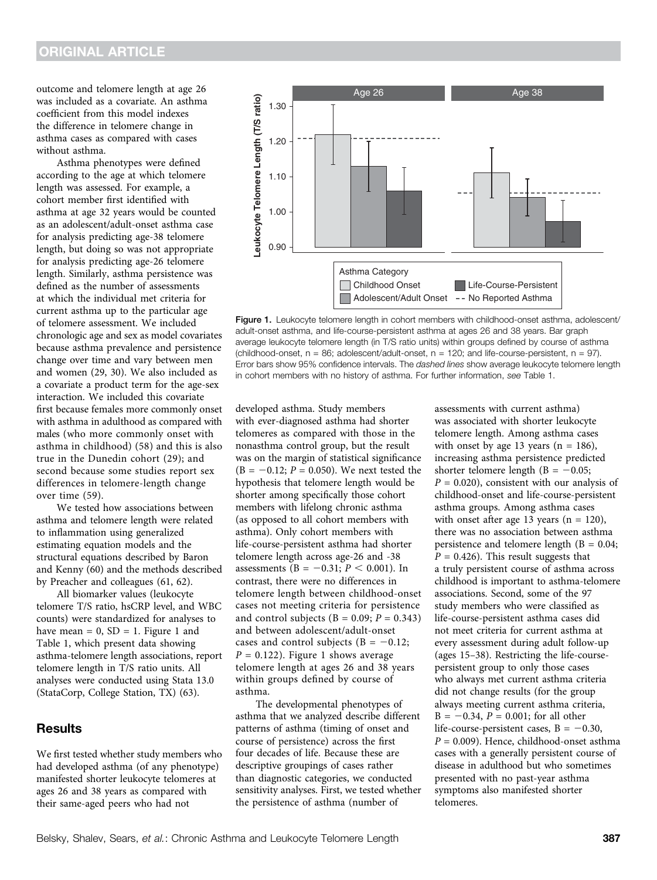## ORIGINAL ARTICLE

outcome and telomere length at age 26 was included as a covariate. An asthma coefficient from this model indexes the difference in telomere change in asthma cases as compared with cases without asthma.

Asthma phenotypes were defined according to the age at which telomere length was assessed. For example, a cohort member first identified with asthma at age 32 years would be counted as an adolescent/adult-onset asthma case for analysis predicting age-38 telomere length, but doing so was not appropriate for analysis predicting age-26 telomere length. Similarly, asthma persistence was defined as the number of assessments at which the individual met criteria for current asthma up to the particular age of telomere assessment. We included chronologic age and sex as model covariates because asthma prevalence and persistence change over time and vary between men and women (29, 30). We also included as a covariate a product term for the age-sex interaction. We included this covariate first because females more commonly onset with asthma in adulthood as compared with males (who more commonly onset with asthma in childhood) (58) and this is also true in the Dunedin cohort (29); and second because some studies report sex differences in telomere-length change over time (59).

We tested how associations between asthma and telomere length were related to inflammation using generalized estimating equation models and the structural equations described by Baron and Kenny (60) and the methods described by Preacher and colleagues (61, 62).

All biomarker values (leukocyte telomere T/S ratio, hsCRP level, and WBC counts) were standardized for analyses to have mean  $= 0$ , SD  $= 1$ . Figure 1 and Table 1, which present data showing asthma-telomere length associations, report telomere length in T/S ratio units. All analyses were conducted using Stata 13.0 (StataCorp, College Station, TX) (63).

## **Results**

We first tested whether study members who had developed asthma (of any phenotype) manifested shorter leukocyte telomeres at ages 26 and 38 years as compared with their same-aged peers who had not



Figure 1. Leukocyte telomere length in cohort members with childhood-onset asthma, adolescent/ adult-onset asthma, and life-course-persistent asthma at ages 26 and 38 years. Bar graph average leukocyte telomere length (in T/S ratio units) within groups defined by course of asthma (childhood-onset,  $n = 86$ ; adolescent/adult-onset,  $n = 120$ ; and life-course-persistent,  $n = 97$ ). Error bars show 95% confidence intervals. The *dashed lines* show average leukocyte telomere length in cohort members with no history of asthma. For further information, see Table 1.

developed asthma. Study members with ever-diagnosed asthma had shorter telomeres as compared with those in the nonasthma control group, but the result was on the margin of statistical significance  $(B = -0.12; P = 0.050)$ . We next tested the hypothesis that telomere length would be shorter among specifically those cohort members with lifelong chronic asthma (as opposed to all cohort members with asthma). Only cohort members with life-course-persistent asthma had shorter telomere length across age-26 and -38 assessments (B =  $-0.31; P < 0.001$ ). In contrast, there were no differences in telomere length between childhood-onset cases not meeting criteria for persistence and control subjects ( $B = 0.09$ ;  $P = 0.343$ ) and between adolescent/adult-onset cases and control subjects ( $B = -0.12$ ;  $P = 0.122$ ). Figure 1 shows average telomere length at ages 26 and 38 years within groups defined by course of asthma.

The developmental phenotypes of asthma that we analyzed describe different patterns of asthma (timing of onset and course of persistence) across the first four decades of life. Because these are descriptive groupings of cases rather than diagnostic categories, we conducted sensitivity analyses. First, we tested whether the persistence of asthma (number of

assessments with current asthma) was associated with shorter leukocyte telomere length. Among asthma cases with onset by age 13 years ( $n = 186$ ), increasing asthma persistence predicted shorter telomere length ( $B = -0.05$ ;  $P = 0.020$ ), consistent with our analysis of childhood-onset and life-course-persistent asthma groups. Among asthma cases with onset after age 13 years ( $n = 120$ ), there was no association between asthma persistence and telomere length  $(B = 0.04;$  $P = 0.426$ . This result suggests that a truly persistent course of asthma across childhood is important to asthma-telomere associations. Second, some of the 97 study members who were classified as life-course-persistent asthma cases did not meet criteria for current asthma at every assessment during adult follow-up (ages 15–38). Restricting the life-coursepersistent group to only those cases who always met current asthma criteria did not change results (for the group always meeting current asthma criteria,  $B = -0.34$ ,  $P = 0.001$ ; for all other life-course-persistent cases,  $B = -0.30$ ,  $P = 0.009$ ). Hence, childhood-onset asthma cases with a generally persistent course of disease in adulthood but who sometimes presented with no past-year asthma symptoms also manifested shorter telomeres.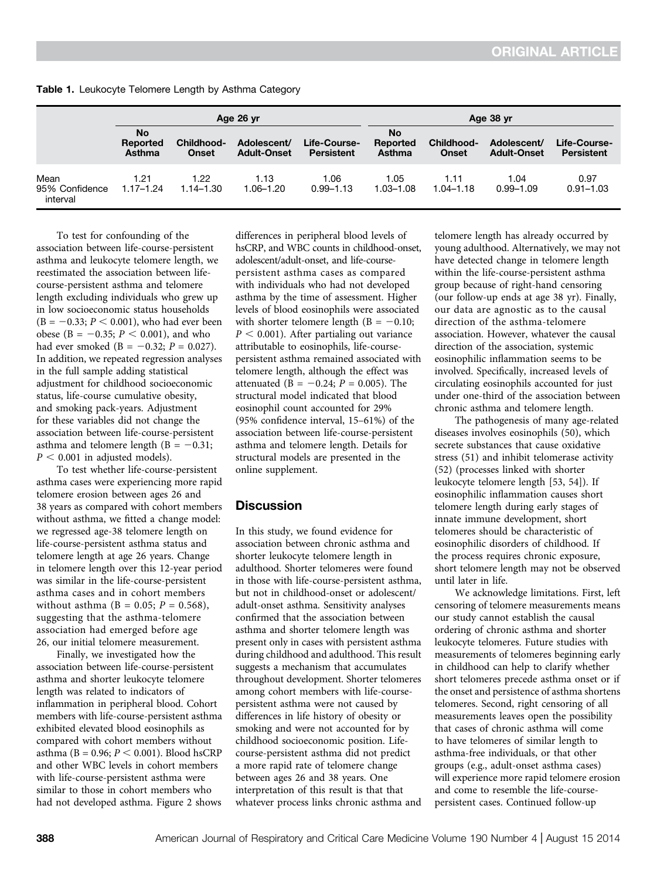|                                    | Age 26 yr                              |                                   |                                   |                                   | Age 38 yr                       |                                   |                                   |                                   |
|------------------------------------|----------------------------------------|-----------------------------------|-----------------------------------|-----------------------------------|---------------------------------|-----------------------------------|-----------------------------------|-----------------------------------|
|                                    | <b>No</b><br>Reported<br><b>Asthma</b> | <b>Childhood-</b><br><b>Onset</b> | Adolescent/<br><b>Adult-Onset</b> | Life-Course-<br><b>Persistent</b> | No<br>Reported<br><b>Asthma</b> | <b>Childhood-</b><br><b>Onset</b> | Adolescent/<br><b>Adult-Onset</b> | Life-Course-<br><b>Persistent</b> |
| Mean<br>95% Confidence<br>interval | 1.21<br>$1.17 - 1.24$                  | 1.22<br>$1.14 - 1.30$             | 1.13<br>$1.06 - 1.20$             | 1.06<br>$0.99 - 1.13$             | 1.05<br>$1.03 - 1.08$           | 1.11<br>$1.04 - 1.18$             | 1.04<br>$0.99 - 1.09$             | 0.97<br>$0.91 - 1.03$             |

Table 1. Leukocyte Telomere Length by Asthma Category

To test for confounding of the association between life-course-persistent asthma and leukocyte telomere length, we reestimated the association between lifecourse-persistent asthma and telomere length excluding individuals who grew up in low socioeconomic status households  $(B = -0.33; P < 0.001)$ , who had ever been obese (B =  $-0.35$ ; *P* < 0.001), and who had ever smoked (B =  $-0.32$ ; P = 0.027). In addition, we repeated regression analyses in the full sample adding statistical adjustment for childhood socioeconomic status, life-course cumulative obesity, and smoking pack-years. Adjustment for these variables did not change the association between life-course-persistent asthma and telomere length ( $B = -0.31$ ;  $P < 0.001$  in adjusted models).

To test whether life-course-persistent asthma cases were experiencing more rapid telomere erosion between ages 26 and 38 years as compared with cohort members without asthma, we fitted a change model: we regressed age-38 telomere length on life-course-persistent asthma status and telomere length at age 26 years. Change in telomere length over this 12-year period was similar in the life-course-persistent asthma cases and in cohort members without asthma ( $B = 0.05$ ;  $P = 0.568$ ), suggesting that the asthma-telomere association had emerged before age 26, our initial telomere measurement.

Finally, we investigated how the association between life-course-persistent asthma and shorter leukocyte telomere length was related to indicators of inflammation in peripheral blood. Cohort members with life-course-persistent asthma exhibited elevated blood eosinophils as compared with cohort members without asthma ( $B = 0.96$ ;  $P < 0.001$ ). Blood hsCRP and other WBC levels in cohort members with life-course-persistent asthma were similar to those in cohort members who had not developed asthma. Figure 2 shows differences in peripheral blood levels of hsCRP, and WBC counts in childhood-onset, adolescent/adult-onset, and life-coursepersistent asthma cases as compared with individuals who had not developed asthma by the time of assessment. Higher levels of blood eosinophils were associated with shorter telomere length ( $B = -0.10$ ;  $P < 0.001$ ). After partialing out variance attributable to eosinophils, life-coursepersistent asthma remained associated with telomere length, although the effect was attenuated (B =  $-0.24; P = 0.005$ ). The structural model indicated that blood eosinophil count accounted for 29% (95% confidence interval, 15–61%) of the association between life-course-persistent asthma and telomere length. Details for structural models are presented in the online supplement.

## **Discussion**

In this study, we found evidence for association between chronic asthma and shorter leukocyte telomere length in adulthood. Shorter telomeres were found in those with life-course-persistent asthma, but not in childhood-onset or adolescent/ adult-onset asthma. Sensitivity analyses confirmed that the association between asthma and shorter telomere length was present only in cases with persistent asthma during childhood and adulthood. This result suggests a mechanism that accumulates throughout development. Shorter telomeres among cohort members with life-coursepersistent asthma were not caused by differences in life history of obesity or smoking and were not accounted for by childhood socioeconomic position. Lifecourse-persistent asthma did not predict a more rapid rate of telomere change between ages 26 and 38 years. One interpretation of this result is that that whatever process links chronic asthma and telomere length has already occurred by young adulthood. Alternatively, we may not have detected change in telomere length within the life-course-persistent asthma group because of right-hand censoring (our follow-up ends at age 38 yr). Finally, our data are agnostic as to the causal direction of the asthma-telomere association. However, whatever the causal direction of the association, systemic eosinophilic inflammation seems to be involved. Specifically, increased levels of circulating eosinophils accounted for just under one-third of the association between chronic asthma and telomere length.

The pathogenesis of many age-related diseases involves eosinophils (50), which secrete substances that cause oxidative stress (51) and inhibit telomerase activity (52) (processes linked with shorter leukocyte telomere length [53, 54]). If eosinophilic inflammation causes short telomere length during early stages of innate immune development, short telomeres should be characteristic of eosinophilic disorders of childhood. If the process requires chronic exposure, short telomere length may not be observed until later in life.

We acknowledge limitations. First, left censoring of telomere measurements means our study cannot establish the causal ordering of chronic asthma and shorter leukocyte telomeres. Future studies with measurements of telomeres beginning early in childhood can help to clarify whether short telomeres precede asthma onset or if the onset and persistence of asthma shortens telomeres. Second, right censoring of all measurements leaves open the possibility that cases of chronic asthma will come to have telomeres of similar length to asthma-free individuals, or that other groups (e.g., adult-onset asthma cases) will experience more rapid telomere erosion and come to resemble the life-coursepersistent cases. Continued follow-up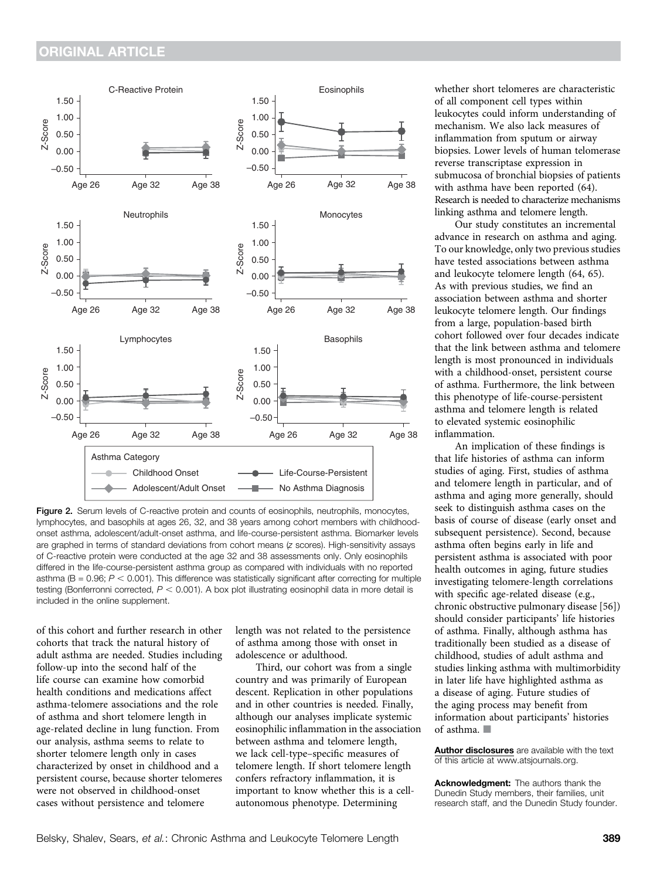

Figure 2. Serum levels of C-reactive protein and counts of eosinophils, neutrophils, monocytes, lymphocytes, and basophils at ages 26, 32, and 38 years among cohort members with childhoodonset asthma, adolescent/adult-onset asthma, and life-course-persistent asthma. Biomarker levels are graphed in terms of standard deviations from cohort means (z scores). High-sensitivity assays of C-reactive protein were conducted at the age 32 and 38 assessments only. Only eosinophils differed in the life-course-persistent asthma group as compared with individuals with no reported asthma ( $B = 0.96$ ;  $P < 0.001$ ). This difference was statistically significant after correcting for multiple testing (Bonferronni corrected,  $P < 0.001$ ). A box plot illustrating eosinophil data in more detail is included in the online supplement.

of this cohort and further research in other cohorts that track the natural history of adult asthma are needed. Studies including follow-up into the second half of the life course can examine how comorbid health conditions and medications affect asthma-telomere associations and the role of asthma and short telomere length in age-related decline in lung function. From our analysis, asthma seems to relate to shorter telomere length only in cases characterized by onset in childhood and a persistent course, because shorter telomeres were not observed in childhood-onset cases without persistence and telomere

length was not related to the persistence of asthma among those with onset in adolescence or adulthood.

Third, our cohort was from a single country and was primarily of European descent. Replication in other populations and in other countries is needed. Finally, although our analyses implicate systemic eosinophilic inflammation in the association between asthma and telomere length, we lack cell-type–specific measures of telomere length. If short telomere length confers refractory inflammation, it is important to know whether this is a cellautonomous phenotype. Determining

whether short telomeres are characteristic of all component cell types within leukocytes could inform understanding of mechanism. We also lack measures of inflammation from sputum or airway biopsies. Lower levels of human telomerase reverse transcriptase expression in submucosa of bronchial biopsies of patients with asthma have been reported (64). Research is needed to characterize mechanisms linking asthma and telomere length.

Our study constitutes an incremental advance in research on asthma and aging. To our knowledge, only two previous studies have tested associations between asthma and leukocyte telomere length (64, 65). As with previous studies, we find an association between asthma and shorter leukocyte telomere length. Our findings from a large, population-based birth cohort followed over four decades indicate that the link between asthma and telomere length is most pronounced in individuals with a childhood-onset, persistent course of asthma. Furthermore, the link between this phenotype of life-course-persistent asthma and telomere length is related to elevated systemic eosinophilic inflammation.

An implication of these findings is that life histories of asthma can inform studies of aging. First, studies of asthma and telomere length in particular, and of asthma and aging more generally, should seek to distinguish asthma cases on the basis of course of disease (early onset and subsequent persistence). Second, because asthma often begins early in life and persistent asthma is associated with poor health outcomes in aging, future studies investigating telomere-length correlations with specific age-related disease (e.g., chronic obstructive pulmonary disease [56]) should consider participants' life histories of asthma. Finally, although asthma has traditionally been studied as a disease of childhood, studies of adult asthma and studies linking asthma with multimorbidity in later life have highlighted asthma as a disease of aging. Future studies of the aging process may benefit from information about participants' histories of asthma.  $\blacksquare$ 

[Author disclosures](http://www.atsjournals.org/doi/suppl/10.1164/rccm.201402-0370OC/suppl_file/disclosures.pdf) are available with the text of this article at [www.atsjournals.org.](http://www.atsjournals.org)

Acknowledgment: The authors thank the Dunedin Study members, their families, unit research staff, and the Dunedin Study founder.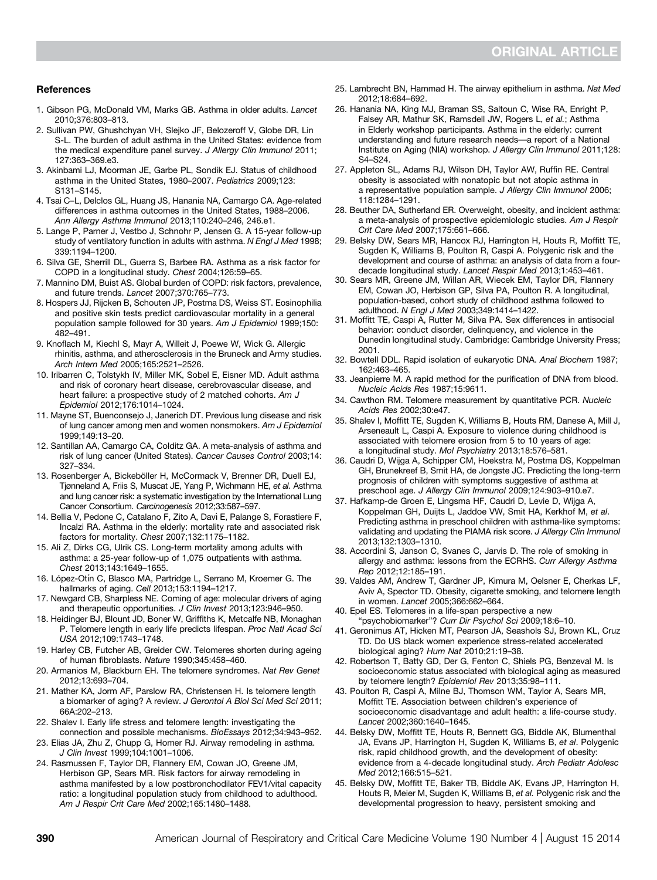#### References

- 1. Gibson PG, McDonald VM, Marks GB. Asthma in older adults. Lancet 2010;376:803–813.
- 2. Sullivan PW, Ghushchyan VH, Slejko JF, Belozeroff V, Globe DR, Lin S-L. The burden of adult asthma in the United States: evidence from the medical expenditure panel survey. J Allergy Clin Immunol 2011; 127:363–369.e3.
- 3. Akinbami LJ, Moorman JE, Garbe PL, Sondik EJ. Status of childhood asthma in the United States, 1980–2007. Pediatrics 2009;123: S131–S145.
- 4. Tsai C–L, Delclos GL, Huang JS, Hanania NA, Camargo CA. Age-related differences in asthma outcomes in the United States, 1988–2006. Ann Allergy Asthma Immunol 2013;110:240–246, 246.e1.
- 5. Lange P, Parner J, Vestbo J, Schnohr P, Jensen G. A 15-year follow-up study of ventilatory function in adults with asthma. N Engl J Med 1998; 339:1194–1200.
- 6. Silva GE, Sherrill DL, Guerra S, Barbee RA. Asthma as a risk factor for COPD in a longitudinal study. Chest 2004;126:59–65.
- 7. Mannino DM, Buist AS. Global burden of COPD: risk factors, prevalence, and future trends. Lancet 2007;370:765–773.
- 8. Hospers JJ, Rijcken B, Schouten JP, Postma DS, Weiss ST. Eosinophilia and positive skin tests predict cardiovascular mortality in a general population sample followed for 30 years. Am J Epidemiol 1999;150: 482–491.
- 9. Knoflach M, Kiechl S, Mayr A, Willeit J, Poewe W, Wick G. Allergic rhinitis, asthma, and atherosclerosis in the Bruneck and Army studies. Arch Intern Med 2005;165:2521–2526.
- 10. Iribarren C, Tolstykh IV, Miller MK, Sobel E, Eisner MD. Adult asthma and risk of coronary heart disease, cerebrovascular disease, and heart failure: a prospective study of 2 matched cohorts. Am J Epidemiol 2012;176:1014–1024.
- 11. Mayne ST, Buenconsejo J, Janerich DT. Previous lung disease and risk of lung cancer among men and women nonsmokers. Am J Epidemiol 1999;149:13–20.
- 12. Santillan AA, Camargo CA, Colditz GA. A meta-analysis of asthma and risk of lung cancer (United States). Cancer Causes Control 2003;14: 327–334.
- 13. Rosenberger A, Bickeböller H, McCormack V, Brenner DR, Duell EJ, Tjønneland A, Friis S, Muscat JE, Yang P, Wichmann HE, et al. Asthma and lung cancer risk: a systematic investigation by the International Lung Cancer Consortium. Carcinogenesis 2012;33:587–597.
- 14. Bellia V, Pedone C, Catalano F, Zito A, Davì E, Palange S, Forastiere F, Incalzi RA. Asthma in the elderly: mortality rate and associated risk factors for mortality. Chest 2007;132:1175–1182.
- 15. Ali Z, Dirks CG, Ulrik CS. Long-term mortality among adults with asthma: a 25-year follow-up of 1,075 outpatients with asthma. Chest 2013;143:1649–1655.
- 16. López-Otín C, Blasco MA, Partridge L, Serrano M, Kroemer G. The hallmarks of aging. Cell 2013;153:1194–1217.
- 17. Newgard CB, Sharpless NE. Coming of age: molecular drivers of aging and therapeutic opportunities. J Clin Invest 2013;123:946–950.
- 18. Heidinger BJ, Blount JD, Boner W, Griffiths K, Metcalfe NB, Monaghan P. Telomere length in early life predicts lifespan. Proc Natl Acad Sci USA 2012;109:1743–1748.
- 19. Harley CB, Futcher AB, Greider CW. Telomeres shorten during ageing of human fibroblasts. Nature 1990;345:458–460.
- 20. Armanios M, Blackburn EH. The telomere syndromes. Nat Rev Genet 2012;13:693–704.
- 21. Mather KA, Jorm AF, Parslow RA, Christensen H. Is telomere length a biomarker of aging? A review. J Gerontol A Biol Sci Med Sci 2011; 66A:202–213.
- 22. Shalev I. Early life stress and telomere length: investigating the connection and possible mechanisms. BioEssays 2012;34:943–952.
- 23. Elias JA, Zhu Z, Chupp G, Homer RJ. Airway remodeling in asthma. J Clin Invest 1999;104:1001–1006.
- 24. Rasmussen F, Taylor DR, Flannery EM, Cowan JO, Greene JM, Herbison GP, Sears MR. Risk factors for airway remodeling in asthma manifested by a low postbronchodilator FEV1/vital capacity ratio: a longitudinal population study from childhood to adulthood. Am J Respir Crit Care Med 2002;165:1480–1488.
- 25. Lambrecht BN, Hammad H. The airway epithelium in asthma. Nat Med 2012;18:684–692.
- 26. Hanania NA, King MJ, Braman SS, Saltoun C, Wise RA, Enright P, Falsey AR, Mathur SK, Ramsdell JW, Rogers L, et al.; Asthma in Elderly workshop participants. Asthma in the elderly: current understanding and future research needs—a report of a National Institute on Aging (NIA) workshop. J Allergy Clin Immunol 2011;128: S4–S24.
- 27. Appleton SL, Adams RJ, Wilson DH, Taylor AW, Ruffin RE. Central obesity is associated with nonatopic but not atopic asthma in a representative population sample. J Allergy Clin Immunol 2006; 118:1284–1291.
- 28. Beuther DA, Sutherland ER. Overweight, obesity, and incident asthma: a meta-analysis of prospective epidemiologic studies. Am J Respir Crit Care Med 2007;175:661–666.
- 29. Belsky DW, Sears MR, Hancox RJ, Harrington H, Houts R, Moffitt TE, Sugden K, Williams B, Poulton R, Caspi A. Polygenic risk and the development and course of asthma: an analysis of data from a fourdecade longitudinal study. Lancet Respir Med 2013;1:453–461.
- 30. Sears MR, Greene JM, Willan AR, Wiecek EM, Taylor DR, Flannery EM, Cowan JO, Herbison GP, Silva PA, Poulton R. A longitudinal, population-based, cohort study of childhood asthma followed to adulthood. N Engl J Med 2003;349:1414–1422.
- 31. Moffitt TE, Caspi A, Rutter M, Silva PA. Sex differences in antisocial behavior: conduct disorder, delinquency, and violence in the Dunedin longitudinal study. Cambridge: Cambridge University Press; 2001.
- 32. Bowtell DDL. Rapid isolation of eukaryotic DNA. Anal Biochem 1987; 162:463–465.
- 33. Jeanpierre M. A rapid method for the purification of DNA from blood. Nucleic Acids Res 1987;15:9611.
- 34. Cawthon RM. Telomere measurement by quantitative PCR. Nucleic Acids Res 2002;30:e47.
- 35. Shalev I, Moffitt TE, Sugden K, Williams B, Houts RM, Danese A, Mill J, Arseneault L, Caspi A. Exposure to violence during childhood is associated with telomere erosion from 5 to 10 years of age: a longitudinal study. Mol Psychiatry 2013;18:576–581.
- 36. Caudri D, Wijga A, Schipper CM, Hoekstra M, Postma DS, Koppelman GH, Brunekreef B, Smit HA, de Jongste JC. Predicting the long-term prognosis of children with symptoms suggestive of asthma at preschool age. J Allergy Clin Immunol 2009;124:903–910.e7.
- 37. Hafkamp-de Groen E, Lingsma HF, Caudri D, Levie D, Wijga A, Koppelman GH, Duijts L, Jaddoe VW, Smit HA, Kerkhof M, et al. Predicting asthma in preschool children with asthma-like symptoms: validating and updating the PIAMA risk score. J Allergy Clin Immunol 2013;132:1303–1310.
- 38. Accordini S, Janson C, Svanes C, Jarvis D. The role of smoking in allergy and asthma: lessons from the ECRHS. Curr Allergy Asthma Rep 2012;12:185–191.
- 39. Valdes AM, Andrew T, Gardner JP, Kimura M, Oelsner E, Cherkas LF, Aviv A, Spector TD. Obesity, cigarette smoking, and telomere length in women. Lancet 2005;366:662–664.
- 40. Epel ES. Telomeres in a life-span perspective a new "psychobiomarker"? Curr Dir Psychol Sci 2009;18:6–10.
- 41. Geronimus AT, Hicken MT, Pearson JA, Seashols SJ, Brown KL, Cruz TD. Do US black women experience stress-related accelerated biological aging? Hum Nat 2010;21:19–38.
- 42. Robertson T, Batty GD, Der G, Fenton C, Shiels PG, Benzeval M. Is socioeconomic status associated with biological aging as measured by telomere length? Epidemiol Rev 2013;35:98–111.
- 43. Poulton R, Caspi A, Milne BJ, Thomson WM, Taylor A, Sears MR, Moffitt TE. Association between children's experience of socioeconomic disadvantage and adult health: a life-course study. Lancet 2002;360:1640–1645.
- 44. Belsky DW, Moffitt TE, Houts R, Bennett GG, Biddle AK, Blumenthal JA, Evans JP, Harrington H, Sugden K, Williams B, et al. Polygenic risk, rapid childhood growth, and the development of obesity: evidence from a 4-decade longitudinal study. Arch Pediatr Adolesc Med 2012;166:515–521.
- 45. Belsky DW, Moffitt TE, Baker TB, Biddle AK, Evans JP, Harrington H, Houts R, Meier M, Sugden K, Williams B, et al. Polygenic risk and the developmental progression to heavy, persistent smoking and